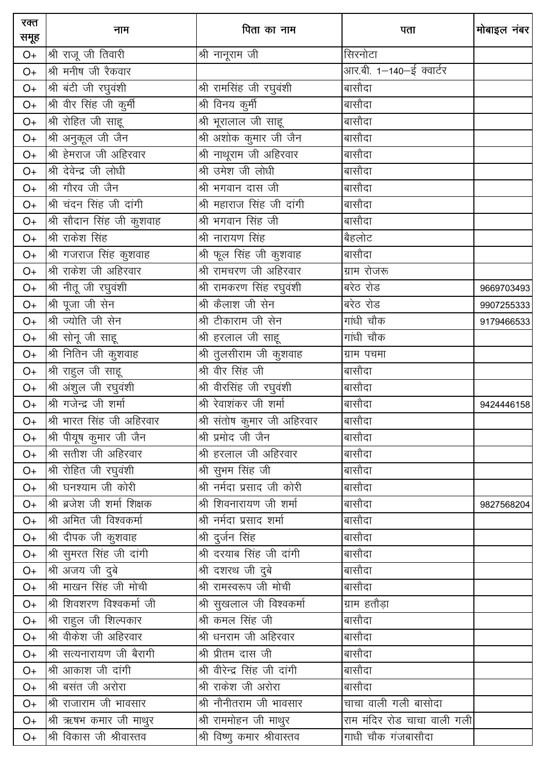| रक्त<br>समूह | नाम                         | पिता का नाम                  | पता                         | मोबाइल नंबर |
|--------------|-----------------------------|------------------------------|-----------------------------|-------------|
| O+           | श्री राजू जी तिवारी         | श्री नानूराम जी              | सिरनोटा                     |             |
| $O+$         | श्री मनीष जी रैकवार         |                              | आर.बी. 1-140-ई क्वार्टर     |             |
| $O+$         | श्री बंटी जी रघुवंशी        | श्री रामसिंह जी रघुवंशी      | बासौदा                      |             |
| $O+$         | श्री वीर सिंह जी कुर्मी     | श्री विनय कुर्मी             | बासौदा                      |             |
| $O+$         | श्री रोहित जी साहू          | श्री भूरालाल जी साहू         | बासौदा                      |             |
| $O+$         | श्री अनुकूल जी जैन          | श्री अशोक कुमार जी जैन       | बासौदा                      |             |
| $O+$         | श्री हेमराज जी अहिरवार      | श्री नाथूराम जी अहिरवार      | बासौदा                      |             |
| $O+$         | श्री देवेन्द्र जी लोधी      | श्री उमेश जी लोधी            | बासौदा                      |             |
| $O+$         | श्री गौरव जी जैन            | श्री भगवान दास जी            | बासौदा                      |             |
| $O+$         | श्री चंदन सिंह जी दांगी     | श्री महाराज सिंह जी दांगी    | बासौदा                      |             |
| $O+$         | श्री सौदान सिंह जी कुशवाह   | श्री भगवान सिंह जी           | बासौदा                      |             |
| $O+$         | श्री राकेश सिंह             | श्री नारायण सिंह             | बैहलोट                      |             |
| $O+$         | श्री गजराज सिंह कृशवाह      | श्री फूल सिंह जी कुशवाह      | बासौदा                      |             |
| $O+$         | श्री राकेश जी अहिरवार       | श्री रामचरण जी अहिरवार       | ग्राम रोजरू                 |             |
| $O+$         | श्री नीतू जी रघुवंशी        | श्री रामकरण सिंह रघुवंशी     | बरेठ रोड                    | 9669703493  |
| $O+$         | श्री पूजा जी सेन            | श्री कैलाश जी सेन            | बरेठ रोड                    | 9907255333  |
| $O+$         | श्री ज्योति जी सेन          | श्री टीकाराम जी सेन          | गांधी चौक                   | 9179466533  |
| $O+$         | श्री सोनू जी साहू           | श्री हरलाल जी साहू           | गांधी चौक                   |             |
| $O+$         | श्री नितिन जी कुशवाह        | श्री तुलसीराम जी कुशवाह      | ग्राम पचमा                  |             |
| $O+$         | श्री राहुल जी साहू          | श्री वीर सिंह जी             | बासौदा                      |             |
| $O+$         | श्री अंशुल जी रघुवंशी       | श्री वीरसिंह जी रघुवंशी      | बासौदा                      |             |
| $O+$         | श्री गजेन्द्र जी शर्मा      | श्री रेवाशंकर जी शर्मा       | बासौदा                      | 9424446158  |
| $O+$         | श्री भारत सिंह जी अहिरवार   | श्री संतोष कूमार जी अहिरवार  | बासौदा                      |             |
| $O+$         | श्री पीयूष कुमार जी जैन     | श्री प्रमोद जी जैन           | बासौदा                      |             |
| $O+$         | श्री सतीश जी अहिरवार        | श्री हरलाल जी अहिरवार        | बासौदा                      |             |
| $O+$         | श्री रोहित जी रघुवंशी       | श्री सुभम सिंह जी            | बासौदा                      |             |
| $O+$         | श्री घनश्याम जी कोरी        | श्री नर्मदा प्रसाद जी कोरी   | बासौदा                      |             |
| O+           | श्री ब्रजेश जी शर्मा शिक्षक | श्री शिवनारायण जी शर्मा      | बासौदा                      | 9827568204  |
| $O+$         | श्री अमित जी विश्वकर्मा     | श्री नर्मदा प्रसाद शर्मा     | बासौदा                      |             |
| O+           | श्री दीपक जी कुशवाह         | श्री दुर्जन सिंह             | बासौदा                      |             |
| O+           | श्री सुमरत सिंह जी दांगी    | श्री दरयाब सिंह जी दांगी     | बासौदा                      |             |
| O+           | श्री अजय जी दुबे            | श्री दशरथ जी दुबे            | बासौदा                      |             |
| $O+$         | श्री माखन सिंह जी मोची      | श्री रामस्वरूप जी मोची       | बासौदा                      |             |
| O+           | श्री शिवशरण विश्वकर्मा जी   | श्री सुखलाल जी विश्वकर्मा    | ग्राम हतौड़ा                |             |
| $O+$         | श्री राहुल जी शिल्पकार      | श्री कमल सिंह जी             | बासौदा                      |             |
| $O+$         | श्री वीकेश जी अहिरवार       | श्री धनराम जी अहिरवार        | बासौदा                      |             |
| $O+$         | श्री सत्यनारायण जी बैरागी   | श्री प्रीतम दास जी           | बासौदा                      |             |
| $O+$         | श्री आकाश जी दांगी          | श्री वीरेन्द्र सिंह जी दांगी | बासौदा                      |             |
| $O+$         | श्री बसंत जी अरोरा          | श्री राकेश जी अरोरा          | बासौदा                      |             |
| $O+$         | श्री राजाराम जी भावसार      | श्री नौनीतराम जी भावसार      | चाचा वाली गली बासोदा        |             |
| $O+$         | श्री ऋषभ कमार जी माथुर      | श्री राममोहन जी माथुर        | राम मंदिर रोड चाचा वाली गली |             |
| O+           | श्री विकास जी श्रीवास्तव    | श्री विष्णु कमार श्रीवास्तव  | गाधी चौक गंजबासौदा          |             |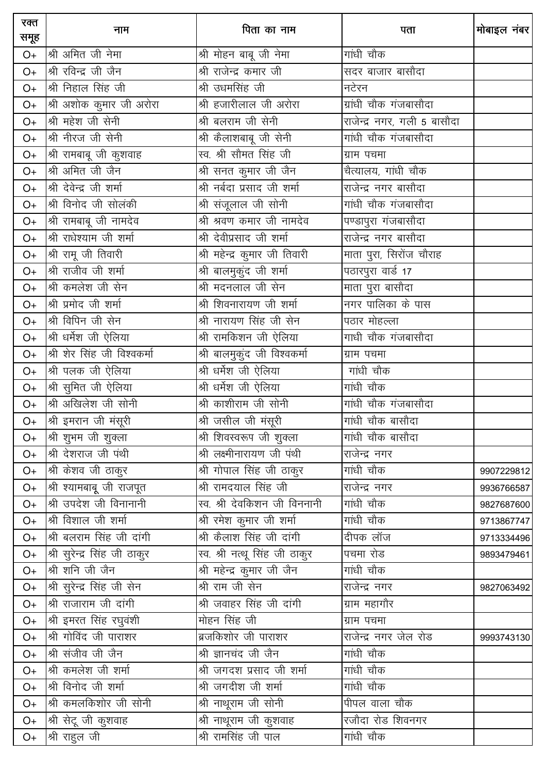| रक्त<br>समूह | नाम                          | पिता का नाम                   | पता                         | मोबाइल नंबर |
|--------------|------------------------------|-------------------------------|-----------------------------|-------------|
| $O+$         | श्री अमित जी नेमा            | श्री मोहन बाबू जी नेमा        | गांधी चौक                   |             |
| $O+$         | श्री रविन्द्र जी जैन         | श्री राजेन्द्र कमार जी        | सदर बाजार बासौदा            |             |
| $O+$         | श्री निहाल सिंह जी           | श्री उधमसिंह जी               | नटेरन                       |             |
| $O+$         | श्री अशोक कुमार जी अरोरा     | श्री हजारीलाल जी अरोरा        | ग्रांधी चौक गंजबासौदा       |             |
| $O+$         | श्री महेश जी सेनी            | श्री बलराम जी सेनी            | राजेन्द्र नगर, गली 5 बासौदा |             |
| $O+$         | श्री नीरज जी सेनी            | श्री कैलाशबाबू जी सेनी        | गांधी चौक गंजबासौदा         |             |
| $O+$         | श्री रामबाबू जी कुशवाह       | स्व. श्री सौमत सिंह जी        | ग्राम पचमा                  |             |
| $O+$         | श्री अमित जी जैन             | श्री सनत कुमार जी जैन         | चैत्यालय, गांधी चौक         |             |
| $O+$         | श्री देवेन्द्र जी शर्मा      | श्री नर्बदा प्रसाद जी शर्मा   | राजेन्द्र नगर बासौदा        |             |
| $O+$         | श्री विनोद जी सोलंकी         | श्री संजूलाल जी सोनी          | गांधी चौक गंजबासौदा         |             |
| $O+$         | श्री रामबाबू जी नामदेव       | श्री श्रवण कमार जी नामदेव     | पण्डापुरा गंजबासौदा         |             |
| $O+$         | श्री राधेश्याम जी शर्मा      | श्री देवीप्रसाद जी शर्मा      | राजेन्द्र नगर बासौदा        |             |
| $O+$         | श्री रामू जी तिवारी          | श्री महेन्द्र कुमार जी तिवारी | माता पुरा, सिरोंज चौराह     |             |
| $O+$         | श्री राजीव जी शर्मा          | श्री बालमुकुंद जी शर्मा       | पठारपुरा वार्ड 17           |             |
| $O+$         | श्री कमलेश जी सेन            | श्री मदनलाल जी सेन            | माता पुरा बासौदा            |             |
| $O+$         | श्री प्रमोद जी शर्मा         | श्री शिवनारायण जी शर्मा       | नगर पालिका के पास           |             |
| $O+$         | श्री विपिन जी सेन            | श्री नारायण सिंह जी सेन       | पठार मोहल्ला                |             |
| $O+$         | श्री धर्मेश जी ऐलिया         | श्री रामकिशन जी ऐलिया         | गाधी चौक गंजबासौदा          |             |
| $O+$         | श्री शेर सिंह जी विश्वकर्मा  | श्री बालमुकुंद जी विश्वकर्मा  | ग्राम पचमा                  |             |
| $O+$         | श्री पलक जी ऐलिया            | श्री धर्मेश जी ऐलिया          | गांधी चौक                   |             |
| $O+$         | श्री सुमित जी ऐलिया          | श्री धर्मेश जी ऐलिया          | गांधी चौक                   |             |
| $O+$         | श्री अखिलेश जी सोनी          | श्री काशीराम जी सोनी          | गांधी चौक गंजबासौदा         |             |
| $O+$         | श्री इमरान जी मंसूरी         | श्री जसील जी मंसूरी           | गांधी चौक बासौदा            |             |
| $O+$         | श्री शुभम जी शुक्ला          | श्री शिवस्वरूप जी शुक्ला      | गांधी चौक बासौदा            |             |
| $O+$         | श्री देशराज जी पंथी          | श्री लक्ष्मीनारायण जी पंथी    | _<br>राजेन्द्र नगर          |             |
| $O+$         | श्री केशव जी ठाकुर           | श्री गोपाल सिंह जी ठाकुर      | गांधी चौक                   | 9907229812  |
| $O+$         | श्री श्यामबाबू जी राजपूत     | श्री रामदयाल सिंह जी          | राजेन्द्र नगर               | 9936766587  |
| O+           | श्री उपदेश जी विनानानी       |                               | गांधी चौक                   | 9827687600  |
| $O+$         | श्री विशाल जी शर्मा          | श्री रमेश कुमार जी शर्मा      | गांधी चौक                   | 9713867747  |
| $O+$         | श्री बलराम सिंह जी दांगी     | श्री कैलाश सिंह जी दांगी      | दीपक लॉज                    | 9713334496  |
| $O+$         | श्री सुरेन्द्र सिंह जी ठाकुर | स्व. श्री नत्थू सिंह जी ठाकुर | पचमा रोड                    | 9893479461  |
| $O+$         | श्री शनि जी जैन              | श्री महेन्द्र कुमार जी जैन    | गांधी चौक                   |             |
| $O+$         | श्री सुरेन्द्र सिंह जी सेन   | श्री राम जी सेन               | राजेन्द्र नगर               | 9827063492  |
| $O+$         | श्री राजाराम जी दांगी        | श्री जवाहर सिंह जी दांगी      | ग्राम महागौर                |             |
| O+           | श्री इमरत सिंह रघुवंशी       | मोहन सिंह जी                  | ग्राम पचमा                  |             |
| $O+$         | श्री गोविंद जी पाराशर        | ब्रजकिशोर जी पाराशर           | राजेन्द्र नगर जेल रोड       | 9993743130  |
| $O+$         | श्री संजीव जी जैन            | श्री ज्ञानचंद जी जैन          | गांधी चौक                   |             |
| $O+$         | श्री कमलेश जी शर्मा          | श्री जगदश प्रसाद जी शर्मा     | गांधी चौक                   |             |
| $O+$         | श्री विनोद जी शर्मा          | श्री जगदीश जी शर्मा           | गांधी चौक                   |             |
| $O+$         | श्री कमलकिशोर जी सोनी        | श्री नाथूराम जी सोनी          | पीपल वाला चौक               |             |
| O+           | श्री सेटू जी कुशवाह          | श्री नाथूराम जी कुशवाह        | रजौदा रोड शिवनगर            |             |
| O+           | श्री राहुल जी                | श्री रामसिंह जी पाल           | गांधी चौक                   |             |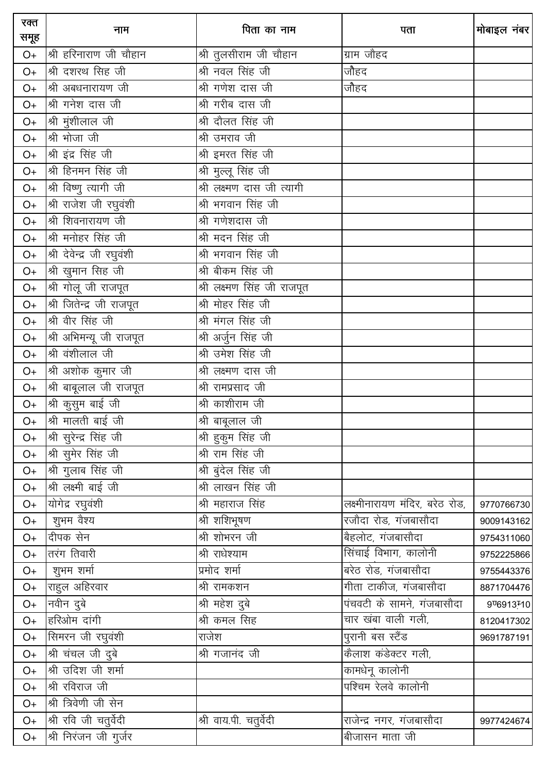| रक्त<br>समूह | नाम                       | पिता का नाम                 | पता                            | मोबाइल नंबर |
|--------------|---------------------------|-----------------------------|--------------------------------|-------------|
| $O+$         | श्री हरिनाराण जी चौहान    | श्री तुलसीराम जी चौहान      | ग्राम जौहद                     |             |
| $O+$         | श्री दशरथ सिंह जी         | श्री नवल सिंह जी            | जौहद                           |             |
| $O+$         | श्री अबधनारायण जी         | श्री गणेश दास जी            | जौहद                           |             |
| O+           | श्री गनेश दास जी          | श्री गरीब दास जी            |                                |             |
| O+           | श्री मुंशीलाल जी          | श्री दौलत सिंह जी           |                                |             |
| O+           | श्री भोजा जी              | श्री उमराव जी               |                                |             |
| $O+$         | श्री इंद्र सिंह जी        | श्री इमरत सिंह जी           |                                |             |
| $O+$         | श्री हिनमन सिंह जी        | श्री मुल्लू सिंह जी         |                                |             |
| $O+$         | श्री विष्णु त्यागी जी     | श्री लक्ष्मण दास जी त्यागी  |                                |             |
| $O+$         | श्री राजेश जी रघुवंशी     | श्री भगवान सिंह जी          |                                |             |
| $O+$         | श्री शिवनारायण जी         | श्री गणेशदास जी             |                                |             |
| $O+$         | श्री मनोहर सिंह जी        | श्री मदन सिंह जी            |                                |             |
| $O+$         | श्री देवेन्द्र जी रघुवंशी | श्री भगवान सिंह जी          |                                |             |
| $O+$         | श्री खुमान सिह जी         | श्री बीकम सिंह जी           |                                |             |
| $O+$         | श्री गोलू जी राजपूत       | श्री लक्ष्मण सिंह जी राजपूत |                                |             |
| $O+$         | श्री जितेन्द्र जी राजपूत  | श्री मोहर सिंह जी           |                                |             |
| $O+$         | श्री वीर सिंह जी          | श्री मंगल सिंह जी           |                                |             |
| $O+$         | श्री अभिमन्यू जी राजपूत   | श्री अर्जुन सिंह जी         |                                |             |
| $O+$         | श्री वंशीलाल जी           | श्री उमेश सिंह जी           |                                |             |
| $O+$         | श्री अशोक कुमार जी        | श्री लक्ष्मण दास जी         |                                |             |
| $O+$         | श्री बाबूलाल जी राजपूत    | श्री रामप्रसाद जी           |                                |             |
| $O+$         | श्री कुसुम बाई जी         | श्री काशीराम जी             |                                |             |
| $O+$         | श्री मालती बाई जी         | श्री बाबूलाल जी             |                                |             |
| $O+$         | श्री सुरेन्द्र सिंह जी    | श्री हुकुम सिंह जी          |                                |             |
| $O+$         | श्री सुमेर सिंह जी        | श्री राम सिंह जी            |                                |             |
| $O+$         | श्री गुलाब सिंह जी        | श्री बुंदेल सिंह जी         |                                |             |
| $O+$         | श्री लक्ष्मी बाई जी       | श्री लाखन सिंह जी           |                                |             |
| $O+$         | योगेद्र रघुवंशी           | श्री महाराज सिंह            | लक्ष्मीनारायण मंदिर, बरेठ रोड, | 9770766730  |
| $O+$         | शुभम वैश्य                | श्री शशिभूषण                | रजौदा रोड, गंजबासौदा           | 9009143162  |
| $O+$         | दीपक सेन                  | श्री शोभरन जी               | बैहलोट, गंजबासौदा              | 9754311060  |
| $O+$         | तरंग तिवारी               | श्री राधेश्याम              | सिंचाई विभाग, कालोनी           | 9752225866  |
| $O+$         | शुभम शर्मा                | प्रमोद शर्मा                | बरेठ रोड, गंजबासौदा            | 9755443376  |
| $O+$         | राहुल अहिरवार             | श्री रामकशन                 | गीता टाकीज, गंजबासौदा          | 8871704476  |
| $O+$         | नवीन दुबे                 | श्री महेश दुबे              | पंचवटी के सामने, गंजबासौदा     | 9ण्6913-10  |
| $O+$         | हरिओम दांगी               | श्री कमल सिंह               | चार खंबा वाली गली,             | 8120417302  |
| $O+$         | सिमरन जी रघुवंशी          | राजेश                       | पुरानी बस स्टैंड               | 9691787191  |
| $O+$         | श्री चंचल जी दुबे         | श्री गजानंद जी              | कैलाश कंडेक्टर गली,            |             |
| $O+$         | श्री उदिश जी शर्मा        |                             | कामधेनू कालोनी                 |             |
| $O+$         | श्री रविराज जी            |                             | पश्चिम रेलवे कालोनी            |             |
| $O+$         | श्री त्रिवेणी जी सेन      |                             |                                |             |
| $O+$         | श्री रवि जी चतुर्वेदी     | श्री वाय.पी. चतुर्वेदी      | राजेन्द्र नगर, गंजबासौदा       | 9977424674  |
| O+           | श्री निरंजन जी गुर्जर     |                             | बीजासन माता जी                 |             |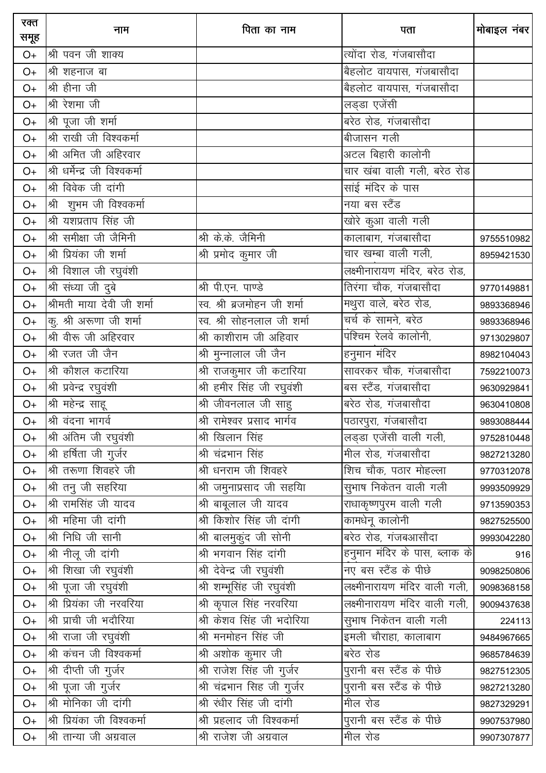| रक्त<br>समूह | नाम                           | पिता का नाम                 | पता                            | मोबाइल नंबर |
|--------------|-------------------------------|-----------------------------|--------------------------------|-------------|
| $O+$         | श्री पवन जी शाक्य             |                             | त्योंदा रोड, गंजबासौदा         |             |
| $O+$         | श्री शहनाज बा                 |                             | बैहलोट वायपास, गंजबासौदा       |             |
| $O+$         | श्री हीना जी                  |                             | बैहलोट वायपास, गंजबासौदा       |             |
| $O+$         | श्री रेशमा जी                 |                             | लड्डा एजेंसी                   |             |
| $O+$         | श्री पूजा जी शर्मा            |                             | बरेठ रोड, गंजबासौदा            |             |
| $O+$         | श्री राखी जी विश्वकर्मा       |                             | बीजासन गली                     |             |
| $O+$         | श्री अमित जी अहिरवार          |                             | अटल बिहारी कालोनी              |             |
| $O+$         | श्री धर्मेन्द्र जी विश्वकर्मा |                             | चार खंबा वाली गली, बरेठ रोड    |             |
| $O+$         | श्री विवेक जी दांगी           |                             | साई मंदिर के पास               |             |
| $O+$         | श्री शुभम जी विश्वकर्मा       |                             | नया बस स्टैंड                  |             |
| $O+$         | श्री यशप्रताप सिंह जी         |                             | खोरे कुआ वाली गली              |             |
| $O+$         | श्री समीक्षा जी जैमिनी        | श्री के.के. जैमिनी          | कालाबाग, गंजबासौदा             | 9755510982  |
| $O+$         | श्री प्रियंका जी शर्मा        | श्री प्रमोद कुमार जी        | चार खम्बा वाली गली,            | 8959421530  |
| $O+$         | श्री विशाल जी रघुवंशी         |                             | लक्ष्मीनारायण मंदिर, बरेठ रोड, |             |
| $O+$         | श्री संध्या जी दुबे           | श्री पी.एन. पाण्डे          | तिरंगा चौक, गंजबासौदा          | 9770149881  |
| $O+$         | श्रीमती माया देवी जी शर्मा    | स्व. श्री ब्रजमोहन जी शर्मा | मथुरा वाले, बरेठ रोड,          | 9893368946  |
| $O+$         | कु. श्री अरूणा जी शर्मा       | स्व. श्री सोहनलाल जी शर्मा  | चर्च के सामने, बरेठ            | 9893368946  |
| $O+$         | श्री वीरू जी अहिरवार          | श्री काशीराम जी अहिवार      | पश्चिम रेलवे कालोनी,           | 9713029807  |
| $O+$         | श्री रजत जी जैन               | श्री मुन्नालाल जी जैन       | हनुमान मंदिर                   | 8982104043  |
| $O+$         | श्री कौशल कटारिया             | श्री राजकुमार जी कटारिया    | सावरकर चौक, गंजबासौदा          | 7592210073  |
| $O+$         | श्री प्रवेन्द्र रघुवंशी       | श्री हमीर सिंह जी रघुवंशी   | बस स्टैंड, गंजबासौदा           | 9630929841  |
| $O+$         | श्री महेन्द्र साहू            | श्री जीवनलाल जी साहु        | बरेठ रोड, गंजबासौदा            | 9630410808  |
| $O+$         | श्री वंदना भागर्व             | श्री रामेश्वर प्रसाद भार्गव | पठारपुरा, गंजबासौदा            | 9893088444  |
| $O+$         | श्री अंतिम जी रघुवंशी         | श्री खिलान सिंह             | लड्डा एजेंसी वाली गली,         | 9752810448  |
| $O+$         | श्री हर्षिता जी गुर्जर        | श्री चंद्रभान सिंह          | मील रोड, गंजबासौदा             | 9827213280  |
| $O+$         | श्री तरूणा शिवहरे जी          | श्री धनराम जी शिवहरे        | शिच चौक, पठार मोहल्ला          | 9770312078  |
| $O+$         | श्री तनु जी सहरिया            | श्री जमुनाप्रसाद जी सहयाि   | सुभाष निकेतन वाली गली          | 9993509929  |
| $O+$         | श्री रामसिंह जी यादव          | श्री बाबूलाल जी यादव        | राधाकृष्णपुरम वाली गली         | 9713590353  |
| $O+$         | श्री महिमा जी दांगी           | श्री किशोर सिंह जी दांगी    | कामधेनू कालोनी                 | 9827525500  |
| $O+$         | श्री निधि जी सानी             | श्री बालमुकुंद जी सोनी      | बरेठ रोड, गंजबआसौदा            | 9993042280  |
| $O+$         | श्री नीलू जी दांगी            | श्री भगवान सिंह दांगी       | हनुमान मंदिर के पास, ब्लाक के  | 916         |
| $O+$         | श्री शिखा जी रघुवंशी          | श्री देवेन्द्र जी रघुवंशी   | नए बस स्टैंड के पीछे           | 9098250806  |
| $O+$         | श्री पूजा जी रघुवंशी          | श्री शम्भूसिंह जी रघुवंशी   | लक्ष्मीनारायण मंदिर वाली गली,  | 9098368158  |
| $O+$         | श्री प्रियंका जी नरवरिया      | श्री कृपाल सिंह नरवरिया     | लक्ष्मीनारायण मंदिर वाली गली,  | 9009437638  |
| $O+$         | श्री प्राची जी भदौरिया        | श्री केशव सिंह जी भदोरिया   | सुभाष निकेतन वाली गली          | 224113      |
| $O+$         | श्री राजा जी रघुवंशी          | श्री मनमोहन सिंह जी         | इमली चौराहा, कालाबाग           | 9484967665  |
| $O+$         | श्री कंचन जी विश्वकर्मा       | श्री अशोक कुमार जी          | बरेठ रोड                       | 9685784639  |
| $O+$         | श्री दीप्ती जी गुर्जर         | श्री राजेश सिंह जी गुर्जर   | पुरानी बस स्टैंड के पीछे       | 9827512305  |
| $O+$         | .<br>श्री पूजा जी गुर्जर      | श्री चंद्रभान सिह जी गुर्जर | पुरानी बस स्टैंड के पीछे       | 9827213280  |
| $O+$         | श्री मोनिका जी दांगी          | श्री रंधीर सिंह जी दांगी    | मील रोड                        | 9827329291  |
| $O+$         | श्री प्रियंका जी विश्वकर्मा   | श्री प्रहलाद जी विश्वकर्मा  | पुरानी बस स्टैंड के पीछे       | 9907537980  |
| $O+$         | श्री तान्या जी अग्रवाल        | श्री राजेश जी अग्रवाल       | मील रोड                        | 9907307877  |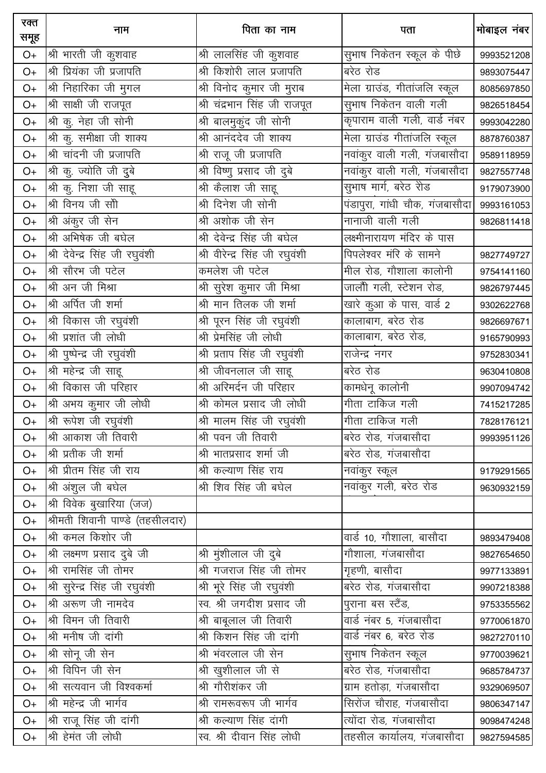| रक्त<br>समूह | नाम                              | पिता का नाम                    | पता                            | मोबाइल नंबर |
|--------------|----------------------------------|--------------------------------|--------------------------------|-------------|
| $O+$         | श्री भारती जी कुशवाह             | श्री लालसिंह जी कुशवाह         | सुभाष निकेतन स्कूल के पीछे     | 9993521208  |
| $O+$         | श्री प्रियंका जी प्रजापति        | श्री किशोरी लाल प्रजापति       | बरेठ रोड                       | 9893075447  |
| $O+$         | श्री निहारिका जी मुगल            | श्री विनोद कुमार जी मुराब      | मेला ग्राउंड, गीतांजलि स्कूल   | 8085697850  |
| $O+$         | श्री साक्षी जी राजपूत            | श्री चंद्रभान सिंह जी राजपूत   | सुभाष निकेतन वाली गली          | 9826518454  |
| $O+$         | श्री कु. नेहा जी सोनी            | श्री बालमुकुंद जी सोनी         | कृपाराम वाली गली, वार्ड नंबर   | 9993042280  |
| $O+$         | श्री कु. समीक्षा जी शाक्य        | श्री आनंददेव जी शाक्य          | मेला ग्राउंड गीतांजलि स्कूल    | 8878760387  |
| $O+$         | श्री चांदनी जी प्रजापति          | श्री राजू जी प्रजापति          | नवांकुर वाली गली, गंजबासौदा    | 9589118959  |
| $O+$         | श्री कु. ज्योति जी दुबे          | श्री विष्णु प्रसाद जी दुबे     | नवांकुर वाली गली, गंजबासौदा    | 9827557748  |
| $O+$         | श्री कु. निशा जी साहू            | श्री कैलाश जी साहू             | सुभाष मार्ग, बरेठ रोड          | 9179073900  |
| $O+$         | श्री विनय जी सौी                 | श्री दिनेश जी सोनी             | पंडापुरा, गांधी चौक, गंजबासौदा | 9993161053  |
| $O+$         | श्री अंकुर जी सेन                | श्री अशोक जी सेन               | नानाजी वाली गली                | 9826811418  |
| $O+$         | श्री अभिषेक जी बघेल              | श्री देवेन्द्र सिंह जी बघेल    | लक्ष्मीनारायण मंदिर के पास     |             |
| $O+$         | श्री देवेन्द्र सिंह जी रघुवंशी   | श्री वीरेन्द्र सिंह जी रघुवंशी | पिपलेश्वर मंरि के सामने        | 9827749727  |
| $O+$         | श्री सौरभ जी पटेल                | कमलेश जी पटेल                  | मील रोड, गौशाला कालोनी         | 9754141160  |
| $O+$         | श्री अन जी मिश्रा                | श्री सुरेश कुमार जी मिश्रा     | जालौी गली, स्टेशन रोड,         | 9826797445  |
| $O+$         | श्री अर्पित जी शर्मा             | श्री मान तिलक जी शर्मा         | खारे कुआ के पास, वार्ड 2       | 9302622768  |
| $O+$         | श्री विकास जी रघुवंशी            | श्री पूरन सिंह जी रघुवंशी      | कालाबाग, बरेठ रोड              | 9826697671  |
| $O+$         | श्री प्रशांत जी लोधी             | श्री प्रेमसिंह जी लोधी         | कालाबाग, बरेठ रोड,             | 9165790993  |
| $O+$         | श्री पुष्पेन्द्र जी रघुवंशी      | श्री प्रताप सिंह जी रघुवंशी    | राजेन्द्र नगर                  | 9752830341  |
| $O+$         | श्री महेन्द्र जी साहू            | श्री जीवनलाल जी साहू           | बरेठ रोड                       | 9630410808  |
| $O+$         | श्री विकास जी परिहार             | श्री अरिमर्दन जी परिहार        | कामधेनू कालोनी                 | 9907094742  |
| $O+$         | श्री अभय कुमार जी लोधी           | श्री कोमल प्रसाद जी लोधी       | गीता टाकिज गली                 | 7415217285  |
| $O+$         | श्री रूपेश जी रघुवंशी            | श्री मालम सिंह जी रघुवंशी      | गीता टाकिज गली                 | 7828176121  |
| $O+$         | श्री आकाश जी तिवारी              | श्री पवन जी तिवारी             | बरेठ रोड, गंजबासौदा            | 9993951126  |
| $O+$         | श्री प्रतीक जी शर्मा             | श्री भातप्रसाद शर्मा जी        | बरेठ रोड, गंजबासौदा            |             |
| $O+$         | श्री प्रीतम सिंह जी राय          | श्री कल्याण सिंह राय           | नवांकुर स्कूल                  | 9179291565  |
| $O+$         | श्री अंशुल जी बघेल               | श्री शिव सिंह जी बघेल          | नवांकुर गली, बरेठ रोड          | 9630932159  |
| $O+$         | श्री विवेक बुखारिया (जज)         |                                |                                |             |
| $O+$         | श्रीमती शिवानी पाण्डे (तहसीलदार) |                                |                                |             |
| $O+$         | श्री कमल किशोर जी                |                                | वार्ड 10, गौशाला, बासौदा       | 9893479408  |
| $O+$         | श्री लक्ष्मण प्रसाद दुबे जी      | श्री मुंशीलाल जी दुबे          | गौशाला, गंजबासौदा              | 9827654650  |
| $O+$         | श्री रामसिंह जी तोमर             | श्री गजराज सिंह जी तोमर        | गृहणी, बासौदा                  | 9977133891  |
| $O+$         | श्री सुरेन्द्र सिंह जी रघुवंशी   | श्री भूरे सिंह जी रघुवंशी      | बरेठ रोड, गंजबासौदा            | 9907218388  |
| $O+$         | श्री अरूण जी नामदेव              | स्व. श्री जगदीश प्रसाद जी      | पुराना बस स्टैंड,              | 9753355562  |
| $O+$         | श्री विमन जी तिवारी              | श्री बाबूलाल जी तिवारी         | वार्ड नंबर 5, गंजबासौदा        | 9770061870  |
| $O+$         | श्री मनीष जी दांगी               | श्री किशन सिंह जी दांगी        | वार्ड नंबर 6, बरेठ रोड         | 9827270110  |
| $O+$         | श्री सोनू जी सेन                 | श्री भंवरलाल जी सेन            | सुभाष निकेतन स्कूल             | 9770039621  |
| $O+$         | श्री विपिन जी सेन                | श्री खुशीलाल जी से             | बरेठ रोड, गंजबासौदा            | 9685784737  |
| $O+$         | श्री सत्यवान जी विश्वकर्मा       | श्री गौरीशंकर जी               | ग्राम हतोड़ा, गंजबासौदा        | 9329069507  |
| $O+$         | श्री महेन्द्र जी भार्गव          | श्री रामरूवरूप जी भार्गव       | <u>सिरोंज चौराह, गंजबासौदा</u> | 9806347147  |
| $O+$         | श्री राजू सिंह जी दांगी          | श्री कल्याण सिंह दांगी         | त्योंदा रोड, गंजबासौदा         | 9098474248  |
| $O+$         | श्री हेमंत जी लोधी               | स्व. श्री दीवान सिंह लोधी      | तहसील कार्यालय, गंजबासौदा      | 9827594585  |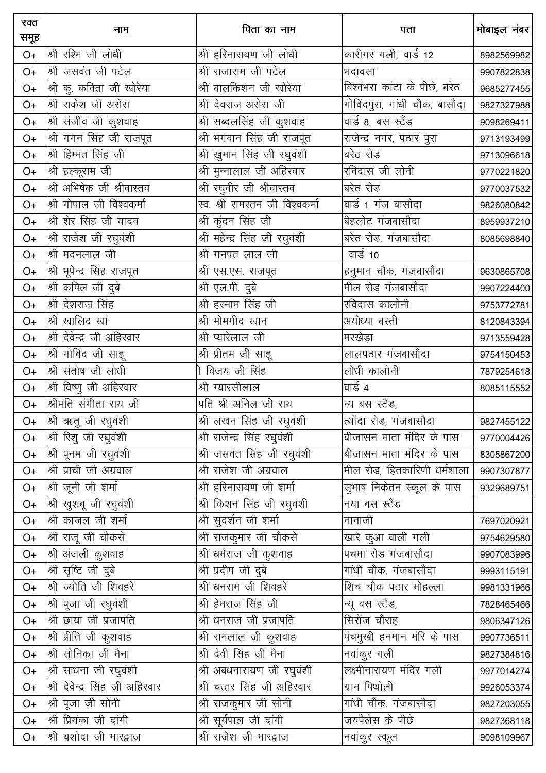| रक्त<br>समूह | नाम                            | पिता का नाम                    | पता                           | मोबाइल नंबर |
|--------------|--------------------------------|--------------------------------|-------------------------------|-------------|
| $O+$         | श्री रश्मि जी लोधी             | श्री हरिनारायण जी लोधी         | कारीगर गली, वार्ड 12          | 8982569982  |
| $O+$         | <u>श्री</u> जसवंत जी पटेल      | श्री राजाराम जी पटेल           | भदावसा                        | 9907822838  |
| $O+$         | श्री कु. कविता जी खोरेया       | श्री बालकिशन जी खोरेया         | विश्वंभरा कांटा के पीछे, बरेठ | 9685277455  |
| $O+$         | श्री राकेश जी अरोरा            | श्री देवराज अरोरा जी           | गोविंदपुरा, गांधी चौक, बासौदा | 9827327988  |
| $O+$         | श्री संजीव जी कुशवाह           | श्री सब्दलसिंह जी कुशवाह       | वार्ड 8, बस स्टैंड            | 9098269411  |
| $O+$         | श्री गगन सिंह जी राजपूत        | श्री भगवान सिंह जी राजपूत      | राजेन्द्र नगर, पठार पुरा      | 9713193499  |
| $O+$         | श्री हिम्मत सिंह जी            | श्री खुमान सिंह जी रघुवंशी     | बरेठ रोड                      | 9713096618  |
| $O+$         | श्री हल्कूराम जी               | श्री मुन्नालाल जी अहिरवार      | रविदास जी लोनी                | 9770221820  |
| $O+$         | श्री अभिषेक जी श्रीवास्तव      | श्री रघुवीर जी श्रीवास्तव      | बरेठ रोड                      | 9770037532  |
| $O+$         | श्री गोपाल जी विश्वकर्मा       | स्व. श्री रामरतन जी विश्वकर्मा | वार्ड 1 गंज बासौदा            | 9826080842  |
| $O+$         | श्री शेर सिंह जी यादव          | श्री कुंदन सिंह जी             | बैहलोट गंजबासौदा              | 8959937210  |
| $O+$         | श्री राजेश जी रघुवंशी          | श्री महेन्द्र सिंह जी रघुवंशी  | बरेठ रोड, गंजबासौदा           | 8085698840  |
| $O+$         | श्री मदनलाल जी                 | श्री गनपत लाल जी               | वार्ड 10                      |             |
| $O+$         | श्री भूपेन्द्र सिंह राजपूत     | श्री एस.एस. राजपूत             | हनुमान चौक, गंजबासौदा         | 9630865708  |
| $O+$         | श्री कपिल जी दुबे              | श्री एल.पी. दुबे               | मील रोड गंजबासौदा             | 9907224400  |
| $O+$         | श्री देशराज सिंह               | श्री हरनाम सिंह जी             | रविदास कालोनी                 | 9753772781  |
| $O+$         | श्री खालिद खां                 | श्री मोमगीद खान                | अयोध्या बस्ती                 | 8120843394  |
| $O+$         | श्री देवेन्द्र जी अहिरवार      | श्री प्यारेलाल जी              | मरखेडा                        | 9713559428  |
| $O+$         | श्री गोविंद जी साहू            | श्री प्रीतम जी साहू            | लालपठार गंजबासौदा             | 9754150453  |
| $O+$         | श्री संतोष जी लोधी             | । विजय जी सिंह                 | लोधी कालोनी                   | 7879254618  |
| $O+$         | श्री विष्णु जी अहिरवार         | श्री ग्यारसीलाल                | वार्ड 4                       | 8085115552  |
| $O+$         | श्रीमति संगीता राय जी          | पति श्री अनिल जी राय           | न्य बस स्टैंड,                |             |
| $O+$         | श्री ऋतु जी रघुवंशी            | श्री लखन सिंह जी रघुवंशी       | त्योंदा रोड, गंजबासौदा        | 9827455122  |
| $O+$         | श्री रिशु जी रघुवंशी           | श्री राजेन्द्र सिंह रघुवंशी    | बीजासन माता मंदिर के पास      | 9770004426  |
| $O+$         | श्री पूनम जी रघुवंशी           | श्री जसवंत सिंह जी रघुवंशी     | बीजासन माता मंदिर के पास      | 8305867200  |
| $O+$         | श्री प्राची जी अग्रवाल         | श्री राजेश जी अग्रवाल          | मील रोड, हितकारिणी धर्मशाला   | 9907307877  |
| $O+$         | श्री जूनी जी शर्मा             | श्री हरिनारायण जी शर्मा        | सुभाष निकेतन स्कूल के पास     | 9329689751  |
| $O+$         | श्री खुशबू जी रघुवंशी          | श्री किशन सिंह जी रघुवंशी      | नया बस स्टैंड                 |             |
| $O+$         | श्री काजल जी शर्मा             | श्री सुदर्शन जी शर्मा          | नानाजी                        | 7697020921  |
| $O+$         | श्री राजू जी चौकसे             | श्री राजकुमार जी चौकसे         | खारे कुआ वाली गली             | 9754629580  |
| $O+$         | श्री अंजली कुशवाह              | श्री धर्मराज जी कुशवाह         | पचमा रोड गंजबासौदा            | 9907083996  |
| $O+$         | श्री सृष्टि जी दुबे            | श्री प्रदीप जी दुबे            | गांधी चौक, गंजबासौदा          | 9993115191  |
| $O+$         | श्री ज्योति जी शिवहरे          | श्री धनराम जी शिवहरे           | शिच चौक पठार मोहल्ला          | 9981331966  |
| $O+$         | श्री पूजा जी रघुवंशी           | श्री हेमराज सिंह जी            | न्यू बस स्टैंड,               | 7828465466  |
| $O+$         | श्री छाया जी प्रजापति          | श्री धनराज जी प्रजापति         | सिरोंज चौराह                  | 9806347126  |
| $O+$         | श्री प्रीति जी कुशवाह          | श्री रामलाल जी कुशवाह          | पंचमुखी हनमान मंरि के पास     | 9907736511  |
| $O+$         | श्री सोनिका जी मैना            | श्री देवी सिंह जी मैना         | नवांकूर गली                   | 9827384816  |
| $O+$         | <u>श्री</u> साधना जी रघुवंशी   | श्री अबधनारायण जी रघुवंशी      | लक्ष्मीनारायण मंदिर गली       | 9977014274  |
| $O+$         | श्री देवेन्द्र सिंह जी अहिरवार | श्री चत्तर सिंह जी अहिरवार     | ग्राम पिथोली                  | 9926053374  |
| $O+$         | श्री पूजा जी सोनी              | श्री राजकुमार जी सोनी          | गांधी चौक, गंजबासौदा          | 9827203055  |
| $O+$         | श्री प्रियंका जी दांगी         | श्री सूर्यपाल जी दांगी         | जयपैलेस के पीछे               | 9827368118  |
| $O+$         | श्री यशोदा जी भारद्वाज         | श्री राजेश जी भारद्वाज         | नवांकुर स्कूल                 | 9098109967  |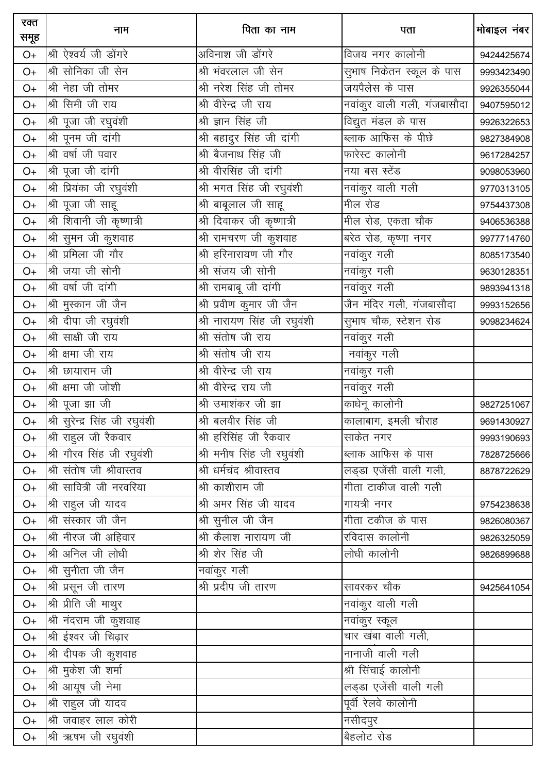| रक्त<br>समूह | नाम                            | पिता का नाम                 | पता                         | मोबाइल नंबर |
|--------------|--------------------------------|-----------------------------|-----------------------------|-------------|
| $O+$         | श्री ऐश्वर्य जी डोंगरे         | अविनाश जी डोंगरे            | विजय नगर कालोनी             | 9424425674  |
| $O+$         | श्री सोनिका जी सेन             | श्री भंवरलाल जी सेन         | सुभाष निकेतन स्कूल के पास   | 9993423490  |
| $O+$         | श्री नेहा जी तोमर              | श्री नरेश सिंह जी तोमर      | जयपैलेस के पास              | 9926355044  |
| $O+$         | श्री सिमी जी राय               | श्री वीरेन्द्र जी राय       | नवांकुर वाली गली, गंजबासौदा | 9407595012  |
| $O+$         | श्री पूजा जी रघुवंशी           | श्री ज्ञान सिंह जी          | विद्युत मंडल के पास         | 9926322653  |
| $O+$         | श्री पूनम जी दांगी             | श्री बहादुर सिंह जी दांगी   | ब्लाक आफिस के पीछे          | 9827384908  |
| $O+$         | श्री वर्षा जी पवार             | श्री बैजनाथ सिंह जी         | फारेस्ट कालोनी              | 9617284257  |
| $O+$         | श्री पूजा जी दांगी             | श्री वीरसिंह जी दांगी       | नया बस स्टेंड               | 9098053960  |
| $O+$         | श्री प्रियंका जी रघुवंशी       | श्री भगत सिंह जी रघुवंशी    | नवांकुर वाली गली            | 9770313105  |
| $O+$         | श्री पूजा जी साहू              | श्री बाबूलाल जी साहू        | मील रोड                     | 9754437308  |
| $O+$         | श्री शिवानी जी कृष्णात्री      | श्री दिवाकर जी कृष्णात्री   | मील रोड, एकता चौक           | 9406536388  |
| $O+$         | श्री सुमन जी कुशवाह            | श्री रामचरण जी कुशवाह       | बरेठ रोड, कृष्णा नगर        | 9977714760  |
| $O+$         | श्री प्रमिला जी गौर            | श्री हरिनारायण जी गौर       | नवांकुर गली                 | 8085173540  |
| $O+$         | श्री जया जी सोनी               | श्री संजय जी सोनी           | नवांकुर गली                 | 9630128351  |
| $O+$         | श्री वर्षा जी दांगी            | श्री रामबाबू जी दांगी       | नवांकुर गली                 | 9893941318  |
| $O+$         | श्री मुस्कान जी जैन            | श्री प्रवीण कुमार जी जैन    | जैन मंदिर गली, गंजबासौदा    | 9993152656  |
| $O+$         | श्री दीपा जी रघुवंशी           | श्री नारायण सिंह जी रघुवंशी | सुभाष चौक, स्टेशन रोड       | 9098234624  |
| $O+$         | श्री साक्षी जी राय             | श्री संतोष जी राय           | नवांकुर गली                 |             |
| $O+$         | श्री क्षमा जी राय              | श्री संतोष जी राय           | नवांकुर गली                 |             |
| $O+$         | श्री छायाराम जी                | श्री वीरेन्द्र जी राय       | नवांकुर गली                 |             |
| $O+$         | श्री क्षमा जी जोशी             | श्री वीरेन्द्र राय जी       | नवांकुर गली                 |             |
| $O+$         | श्री पूजा झा जी                | श्री उमाशंकर जी झा          | काधेनू कालोनी               | 9827251067  |
| $O+$         | श्री सूरेन्द्र सिंह जी रघुवंशी | श्री बलवीर सिंह जी          | कालाबाग, इमली चौराह         | 9691430927  |
| $O+$         | श्री राहुल जी रैकवार           | श्री हरिसिंह जी रैकवार      | साकेत नगर                   | 9993190693  |
| $O+$         | श्री गौरव सिंह जी रघुवंशी      | श्री मनीष सिंह जी रघुवंशी   | <u>ब्लाक आ</u> फिस के पास   | 7828725666  |
| $O+$         | श्री संतोष जी श्रीवास्तव       | श्री धर्मचंद श्रीवास्तव     | लड्डा एजेंसी वाली गली,      | 8878722629  |
| $O+$         | श्री सावित्री जी नरवरिया       | श्री काशीराम जी             | <u>गीता टाकीज वाली गली</u>  |             |
| $O+$         | श्री राहुल जी यादव             | श्री अमर सिंह जी यादव       | गायत्री नगर                 | 9754238638  |
| $O+$         | श्री संस्कार जी जैन            | श्री सुनील जी जैन           | गीता टकीज के पास            | 9826080367  |
| $O+$         | श्री नीरज जी अहिवार            | श्री कैलाश नारायण जी        | रविदास कालोनी               | 9826325059  |
| $O+$         | श्री अनिल जी लोधी              | श्री शेर सिंह जी            | लोधी कालोनी                 | 9826899688  |
| $O+$         | श्री सुनीता जी जैन             | नवांकुर गली                 |                             |             |
| $O+$         | श्री प्रसून जी तारण            | श्री प्रदीप जी तारण         | सावरकर चौक                  | 9425641054  |
| O+           | श्री प्रीति जी माथुर           |                             |                             |             |
| $O+$         | श्री नंदराम जी कुशवाह          |                             | नवांकुर स्कूल               |             |
| O+           | श्री ईश्वर जी चिढ़ार           |                             | चार खंबा वाली गली,          |             |
| O+           | श्री दीपक जी कुशवाह            |                             | नानाजी वाली गली             |             |
| O+           | श्री मुकेश जी शर्मा            |                             | श्री सिंचाई कालोनी          |             |
| $O+$         | श्री आयूष जी नेमा              |                             | लड्डा एजेंसी वाली गली       |             |
| $O+$         | श्री राहुल जी यादव             |                             | पूर्वी रेलवे कालोनी         |             |
| $O+$         | श्री जवाहर लाल कोरी            |                             | नसीदपुर                     |             |
| O+           | श्री ऋषभ जी रघुवंशी            |                             | बैहलोट रोड                  |             |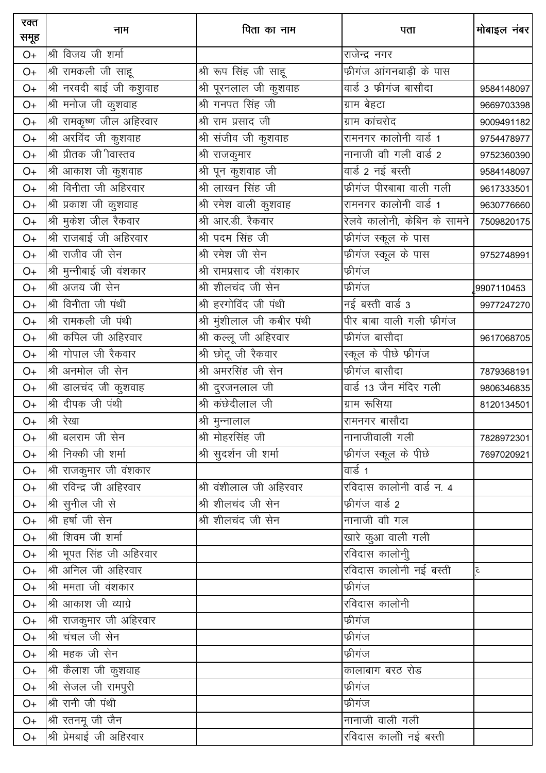| रक्त<br>समूह | नाम                       | पिता का नाम                | पता                                                            | मोबाइल नंबर        |
|--------------|---------------------------|----------------------------|----------------------------------------------------------------|--------------------|
| $O+$         | श्री विजय जी शर्मा        |                            | राजेन्द्र नगर                                                  |                    |
| $O+$         | श्री रामकली जी साहू       | श्री रूप सिंह जी साहू      | फ्रीगंज आंगनबाड़ी के पास                                       |                    |
| $O+$         | श्री नरवदी बाई जी कशुवाह  | श्री पूरनलाल जी कुशवाह     | वार्ड 3 फ्रीगंज बासौदा                                         | 9584148097         |
| $O+$         | श्री मनोज जी कुशवाह       | श्री गनपत सिंह जी          | ग्राम बेहटा                                                    | 9669703398         |
| $O+$         | श्री रामकृष्ण जील अहिरवार | श्री राम प्रसाद जी         | ग्राम कांचरोद                                                  | 9009491182         |
| $O+$         | श्री अरविंद जी कुशवाह     | श्री संजीव जी कुशवाह       | रामनगर कालोनी वार्ड 1                                          | 9754478977         |
| $O+$         | श्री प्रीतक जी ीवास्तव    | श्री राजकुमार              | नानाजी वी गली वार्ड 2                                          | 9752360390         |
| $O+$         | श्री आकाश जी कुशवाह       | श्री पून कुशवाह जी         | वार्ड 2 नई बस्ती                                               | 9584148097         |
| $O+$         | श्री विनीता जी अहिरवार    | <u>श्री</u> लाखन सिंह जी   | फ्रीगंज पीरबाबा वाली गली                                       | 9617333501         |
| $O+$         | श्री प्रकाश जी कुशवाह     | श्री रमेश वाली कुशवाह      | रामनगर कालोनी वार्ड 1                                          | 9630776660         |
| $O+$         | श्री मुकेश जील रैकवार     | श्री आर.डी. रैकवार         | रेलवे कालोनी, केबिन के सामने                                   | 7509820175         |
| $O+$         | श्री राजबाई जी अहिरवार    | श्री पदम सिंह जी           | फ्रीगंज स्कूल के पास                                           |                    |
| $O+$         | श्री राजीव जी सेन         | श्री रमेश जी सेन           | <mark>फो</mark> गंज स्कूल के पास                               | 9752748991         |
| $O+$         | श्री मुन्नीबाई जी वंशकार  | श्री रामप्रसाद जी वंशकार   | फ्रीगंज                                                        |                    |
| $O+$         | श्री अजय जी सेन           | श्री शीलचंद जी सेन         | फ्रीगंज                                                        | 9907110453         |
| $O+$         | श्री विनीता जी पंथी       | श्री हरगोविंद जी पंथी      | नई बस्ती वार्ड 3                                               | 9977247270         |
| $O+$         | श्री रामकली जी पंथी       | श्री मुंशीलाल जी कबीर पंथी | पीर बाबा वाली गली फीगंज                                        |                    |
| $O+$         | श्री कपिल जी अहिरवार      | श्री कल्लू जी अहिरवार      | फ्रीगंज बासौदा                                                 | 9617068705         |
| $O+$         | श्री गोपाल जी रैकवार      | श्री छोटू जी रैकवार        | स्कूल के पीछे फीगंज                                            |                    |
| $O+$         | श्री अनमोल जी सेन         | श्री अमरसिंह जी सेन        | फ्रीगंज बासौदा                                                 | 7879368191         |
| $O+$         | श्री डालचंद जी कुशवाह     | श्री दुरजनलाल जी           | $\overline{\mathsf{q} \mathsf{q} \mathsf{d}}$ 13 जैन मंदिर गली | 9806346835         |
| $O+$         | श्री दीपक जी पंथी         |                            | ग्राम रूसिया                                                   | 8120134501         |
| $O+$         | श्री रेखा                 | श्री मुन्नालाल             | रामनगर बासौदा                                                  |                    |
| $O+$         | श्री बलराम जी सेन         | श्री मोहरसिंह जी           | नानाजीवाली गली                                                 | 7828972301         |
| $O+$         | श्री निक्की जी शर्मा      | श्री सुदर्शन जी शर्मा      | फीगंज स्कूल के पीछे                                            | 7697020921         |
| O+           | श्री राजकुमार जी वंशकार   |                            | वार्ड 1                                                        |                    |
| O+           | श्री रविन्द्र जी अहिरवार  | श्री वंशीलाल जी अहिरवार    | रविदास कालोनी वार्ड न. ४                                       |                    |
| O+           | श्री सुनील जी से          | श्री शीलचंद जी सेन         | फ्रीगंज वार्ड 2                                                |                    |
| O+           | श्री हर्षा जी सेन         | श्री शीलचंद जी सेन         | नानाजी वीी गल                                                  |                    |
| O+           | श्री शिवम जी शर्मा        |                            | खारे कुआ वाली गली                                              |                    |
| O+           | श्री भूपत सिंह जी अहिरवार |                            | रविदास कालोनीु                                                 |                    |
| O+           | श्री अनिल जी अहिरवार      |                            | रविदास कालोनी नई बस्ती                                         | $\bar{\mathbf{c}}$ |
| O+           | श्री ममता जी वंशकार       |                            | फ्रीगंज                                                        |                    |
| O+           | श्री आकाश जी व्याग्रे     |                            | रविदास कालोनी                                                  |                    |
| O+           | श्री राजकुमार जी अहिरवार  |                            | फ्रीगंज                                                        |                    |
| O+           | श्री चंचल जी सेन          |                            | फ्रीगंज                                                        |                    |
| O+           | श्री महक जी सेन           |                            | फ्रीगंज                                                        |                    |
| O+           | श्री कैलाश जी कुशवाह      |                            | कालाबाग बरठ रोड                                                |                    |
| O+           | श्री सेजल जी रामपुरी      |                            | फ्रीगंज                                                        |                    |
| $O+$         | श्री रानी जी पंथी         |                            | फ्रीगंज                                                        |                    |
| O+           | श्री रतनमू जी जैन         |                            | नानाजी वाली गली                                                |                    |
| $O+$         | श्री प्रेमबाई जी अहिरवार  |                            | रविदास कालोी नई बस्ती                                          |                    |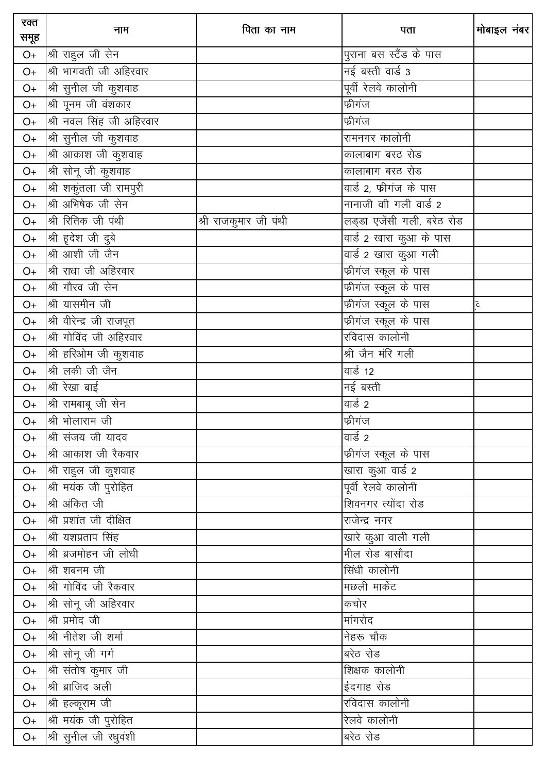| रक्त<br>समूह | नाम                       | पिता का नाम           | पता                                | मोबाइल नंबर             |
|--------------|---------------------------|-----------------------|------------------------------------|-------------------------|
| O+           | श्री राहुल जी सेन         |                       | पुराना बस स्टैंड के पास            |                         |
| $O+$         | श्री भागवती जी अहिरवार    |                       | नई बस्ती वार्ड 3                   |                         |
| $O+$         | श्री सुनील जी कुशवाह $\,$ |                       | पूर्वी रेलवे कालोनी                |                         |
| O+           | श्री पूनम जी वंशकार       |                       | फ्रीगंज                            |                         |
| $O+$         | श्री नवल सिंह जी अहिरवार  |                       | फ्रीगंज                            |                         |
| $O+$         | श्री सुनील जी कुशवाह      |                       | रामनगर कालोनी                      |                         |
| $O+$         | श्री आकाश जी कुशवाह       |                       | कालाबाग बरठ रोड                    |                         |
| O+           | श्री सोनू जी कुशवाह       |                       | कालाबाग बरठ रोड                    |                         |
| O+           | श्री शकुंतला जी रामपुरी   |                       | वार्ड 2, फ्रीगंज के पास            |                         |
| $O+$         | श्री अभिषेक जी सेन        |                       | नानाजी वी गली वार्ड 2              |                         |
| $O+$         | श्री रितिक जी पंथी        | श्री राजकुमार जी पंथी | लड्डा एजेंसी गली, बरेठ रोड         |                         |
| $O+$         | श्री ह़देश जी दुबे        |                       | वार्ड 2 खारा कुआ के पास            |                         |
| $O+$         | श्री आशी जी जैन           |                       | वार्ड 2 खारा कुआ गली               |                         |
| $O+$         | श्री राधा जी अहिरवार      |                       | फीगंज स्कूल के पास                 |                         |
| $O+$         | श्री गौरव जी सेन          |                       | फ्रीगंज स्कूल के पास               |                         |
| $O+$         | श्री यासमीन जी            |                       | <mark>फ</mark> ्रीगंज स्कूल के पास | $\overline{\mathsf{c}}$ |
| O+           | श्री वीरेन्द्र जी राजपूत  |                       | <u>फीगंज स्कू</u> ल के पास         |                         |
| $O+$         | श्री गोविंद जी अहिरवार    |                       | रविदास कालोनी                      |                         |
| $O+$         | श्री हरिओम जी कुशवाह      |                       | श्री जैन मंरि गली                  |                         |
| $O+$         | श्री लकी जी जैन           |                       | वार्ड 12                           |                         |
| $O+$         | श्री रेखा बाई             |                       | नई बस्ती                           |                         |
| $O+$         | श्री रामबाबू जी सेन       |                       | वार्ड 2                            |                         |
| $O+$         | श्री भोलाराम जी           |                       | फ्रीगंज                            |                         |
| $O+$         | श्री संजय जी यादव         |                       | वार्ड 2                            |                         |
| $O+$         | श्री आकाश जी रैकवार       |                       | फ्रीगंज स्कूल के पास               |                         |
| O+           | श्री राहुल जी कुशवाह      |                       | खारा कुआ वार्ड 2                   |                         |
| $O+$         | श्री मयंक जी पुरोहित      |                       | पूर्वी रेलवे कालोनी                |                         |
| $O+$         | श्री अंकित जी             |                       | शिवनगर त्योंदा रोड                 |                         |
| O+           | श्री प्रशांत जी दीक्षित   |                       | राजेन्द्र नगर                      |                         |
| O+           | श्री यशप्रताप सिंह        |                       | खारे कुआ वाली गली                  |                         |
| O+           | श्री ब्रजमोहन जी लोधी     |                       | मील रोड बासौदा                     |                         |
| $O+$         | श्री शबनम जी              |                       | सिंधी कालोनी                       |                         |
| O+           | श्री गोविंद जी रैकवार     |                       | मछली मार्केट                       |                         |
| O+           | श्री सोनू जी अहिरवार      |                       | कचोर                               |                         |
| O+           | श्री प्रमोद जी            |                       | मांगरोद                            |                         |
| O+           | श्री नीतेश जी शर्मा       |                       | नेहरू चौक                          |                         |
| O+           | श्री सोनू जी गर्ग         |                       | बरेठ रोड                           |                         |
| O+           | श्री संतोष कुमार जी       |                       | शिक्षक कालोनी                      |                         |
| O+           | श्री ब्राजिद अली          |                       | ईदगाह रोड                          |                         |
| $O+$         | श्री हल्कूराम जी          |                       | रविदास कालोनी                      |                         |
| O+           | श्री मयंक जी पुरोहित      |                       | रेलवे कालोनी                       |                         |
| O+           | श्री सुनील जी रधुवंशी     |                       | बरेठ रोड                           |                         |